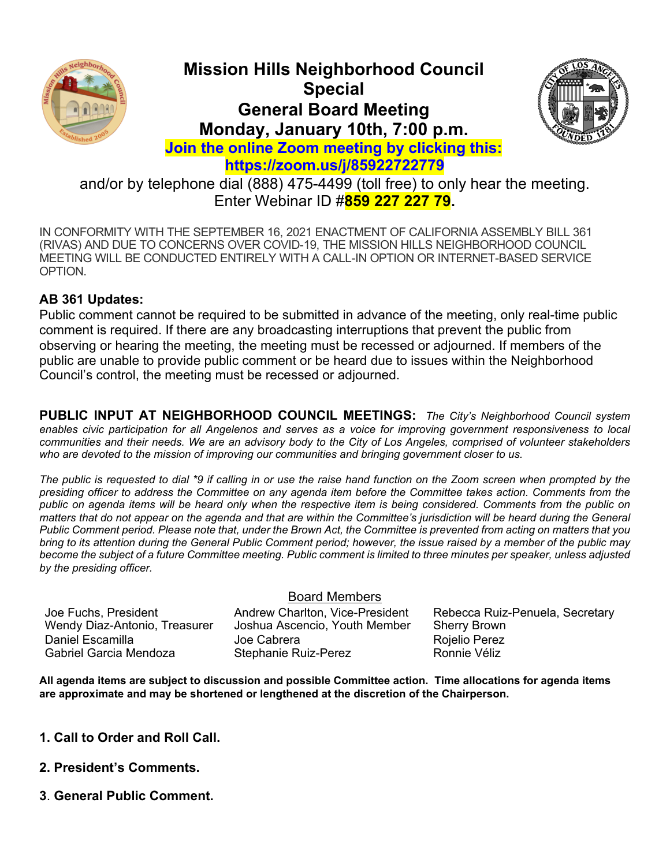

# **Mission Hills Neighborhood Council Special General Board Meeting Monday, January 10th, 7:00 p.m.**



**Join the online Zoom meeting by clicking this: https://zoom.us/j/85922722779**

and/or by telephone dial (888) 475-4499 (toll free) to only hear the meeting. Enter Webinar ID #**859 227 227 79.**

IN CONFORMITY WITH THE SEPTEMBER 16, 2021 ENACTMENT OF CALIFORNIA ASSEMBLY BILL 361 (RIVAS) AND DUE TO CONCERNS OVER COVID-19, THE MISSION HILLS NEIGHBORHOOD COUNCIL MEETING WILL BE CONDUCTED ENTIRELY WITH A CALL-IN OPTION OR INTERNET-BASED SERVICE OPTION.

## **AB 361 Updates:**

Public comment cannot be required to be submitted in advance of the meeting, only real-time public comment is required. If there are any broadcasting interruptions that prevent the public from observing or hearing the meeting, the meeting must be recessed or adjourned. If members of the public are unable to provide public comment or be heard due to issues within the Neighborhood Council's control, the meeting must be recessed or adjourned.

**PUBLIC INPUT AT NEIGHBORHOOD COUNCIL MEETINGS:** *The City's Neighborhood Council system enables civic participation for all Angelenos and serves as a voice for improving government responsiveness to local communities and their needs. We are an advisory body to the City of Los Angeles, comprised of volunteer stakeholders who are devoted to the mission of improving our communities and bringing government closer to us.*

*The public is requested to dial \*9 if calling in or use the raise hand function on the Zoom screen when prompted by the presiding officer to address the Committee on any agenda item before the Committee takes action. Comments from the public on agenda items will be heard only when the respective item is being considered. Comments from the public on matters that do not appear on the agenda and that are within the Committee's jurisdiction will be heard during the General Public Comment period. Please note that, under the Brown Act, the Committee is prevented from acting on matters that you bring to its attention during the General Public Comment period; however, the issue raised by a member of the public may become the subject of a future Committee meeting. Public comment is limited to three minutes per speaker, unless adjusted by the presiding officer.*

#### Board Members

Wendy Diaz-Antonio, Treasurer Joshua Ascencio, Youth Member Sherry Brown Daniel Escamilla Joe Cabrera Rojelio Perez Stephanie Ruiz-Perez

Joe Fuchs, President **Andrew Charlton, Vice-President** Rebecca Ruiz-Penuela, Secretary

**All agenda items are subject to discussion and possible Committee action. Time allocations for agenda items are approximate and may be shortened or lengthened at the discretion of the Chairperson.**

- **1. Call to Order and Roll Call.**
- **2. President's Comments.**
- **3**. **General Public Comment.**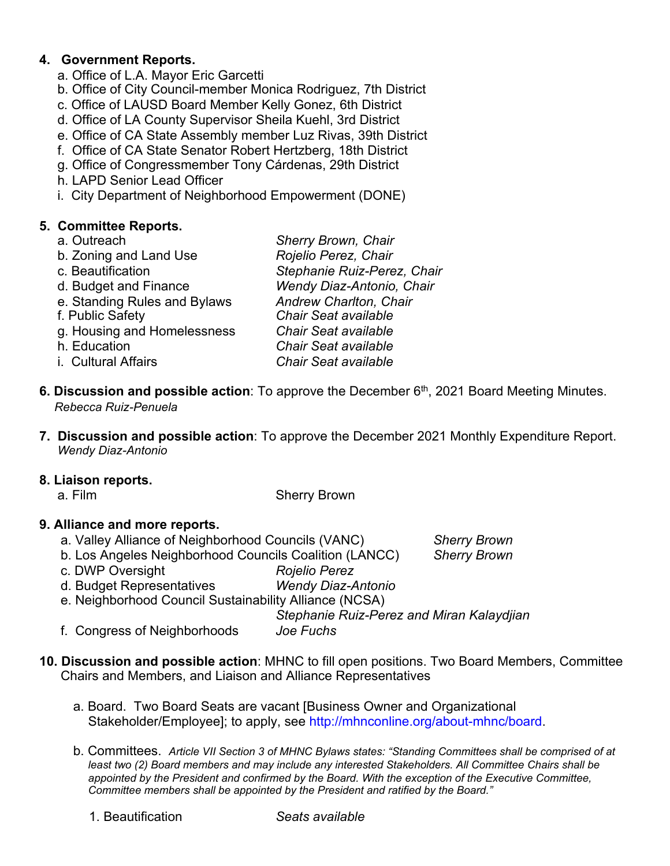## **4. Government Reports.**

- a. Office of L.A. Mayor Eric Garcetti
- b. Office of City Council-member Monica Rodriguez, 7th District
- c. Office of LAUSD Board Member Kelly Gonez, 6th District
- d. Office of LA County Supervisor Sheila Kuehl, 3rd District
- e. Office of CA State Assembly member Luz Rivas, 39th District
- f. Office of CA State Senator Robert Hertzberg, 18th District
- g. Office of Congressmember Tony Cárdenas, 29th District
- h. LAPD Senior Lead Officer
- i. City Department of Neighborhood Empowerment (DONE)

## **5. Committee Reports.**

| a. Outreach                  | Sherry Brown, Chair              |
|------------------------------|----------------------------------|
| b. Zoning and Land Use       | Rojelio Perez, Chair             |
| c. Beautification            | Stephanie Ruiz-Perez, Chair      |
| d. Budget and Finance        | <b>Wendy Diaz-Antonio, Chair</b> |
| e. Standing Rules and Bylaws | <b>Andrew Charlton, Chair</b>    |
| f. Public Safety             | <b>Chair Seat available</b>      |
| g. Housing and Homelessness  | <b>Chair Seat available</b>      |
| h. Education                 | <b>Chair Seat available</b>      |
| i. Cultural Affairs          | <b>Chair Seat available</b>      |

- **6. Discussion and possible action**: To approve the December 6<sup>th</sup>, 2021 Board Meeting Minutes. *Rebecca Ruiz-Penuela*
- **7. Discussion and possible action**: To approve the December 2021 Monthly Expenditure Report. *Wendy Diaz-Antonio*

#### **8. Liaison reports.**

a. Film Sherry Brown

#### **9. Alliance and more reports.**

- a. Valley Alliance of Neighborhood Councils (VANC) *Sherry Brown*
- b. Los Angeles Neighborhood Councils Coalition (LANCC) *Sherry Brown*
- c. DWP Oversight *Rojelio Perez*
- d. Budget Representatives *Wendy Diaz-Antonio*
- e. Neighborhood Council Sustainability Alliance (NCSA)

*Stephanie Ruiz-Perez and Miran Kalaydjian*

- f. Congress of Neighborhoods *Joe Fuchs*
- **10. Discussion and possible action**: MHNC to fill open positions. Two Board Members, Committee Chairs and Members, and Liaison and Alliance Representatives
	- a. Board. Two Board Seats are vacant [Business Owner and Organizational Stakeholder/Employee]; to apply, see http://mhnconline.org/about-mhnc/board.
	- b. Committees. *Article VII Section 3 of MHNC Bylaws states: "Standing Committees shall be comprised of at least two (2) Board members and may include any interested Stakeholders. All Committee Chairs shall be appointed by the President and confirmed by the Board. With the exception of the Executive Committee, Committee members shall be appointed by the President and ratified by the Board."*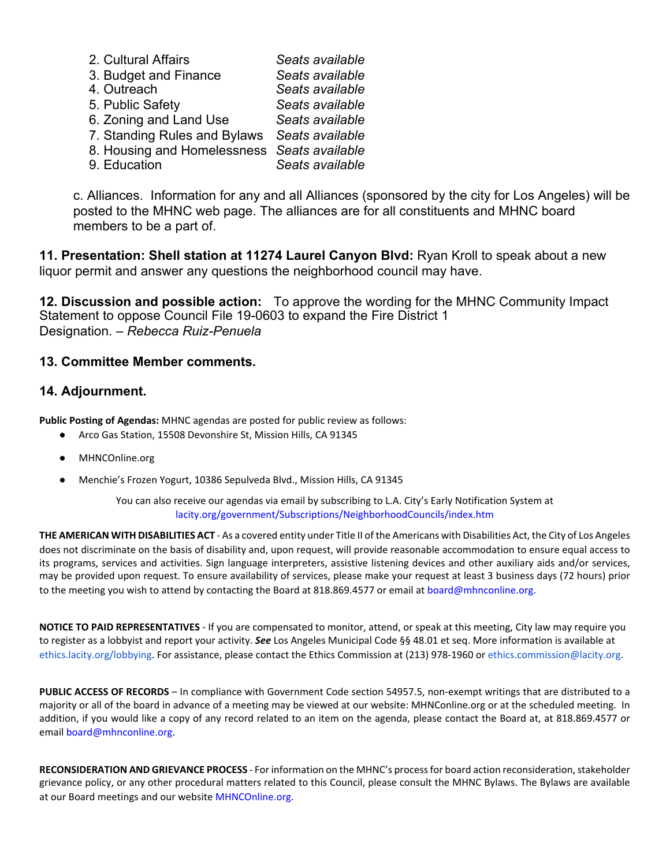| 2. Cultural Affairs                          | Seats available |
|----------------------------------------------|-----------------|
| 3. Budget and Finance                        | Seats available |
| 4. Outreach                                  | Seats available |
| 5. Public Safety                             | Seats available |
| 6. Zoning and Land Use                       | Seats available |
| 7. Standing Rules and Bylaws Seats available |                 |
| 8. Housing and Homelessness Seats available  |                 |

9. Education *Seats available*

c. Alliances. Information for any and all Alliances (sponsored by the city for Los Angeles) will be posted to the MHNC web page. The alliances are for all constituents and MHNC board members to be a part of.

**11. Presentation: Shell station at 11274 Laurel Canyon Blvd:** Ryan Kroll to speak about a new liquor permit and answer any questions the neighborhood council may have.

**12. Discussion and possible action:** To approve the wording for the MHNC Community Impact Statement to oppose Council File 19-0603 to expand the Fire District 1 Designation. – *Rebecca Ruiz-Penuela*

#### **13. Committee Member comments.**

#### **14. Adjournment.**

**Public Posting of Agendas:** MHNC agendas are posted for public review as follows:

- Arco Gas Station, 15508 Devonshire St, Mission Hills, CA 91345
- MHNCOnline.org
- Menchie's Frozen Yogurt, 10386 Sepulveda Blvd., Mission Hills, CA 91345

You can also receive our agendas via email by subscribing to L.A. City's Early Notification System at lacity.org/government/Subscriptions/NeighborhoodCouncils/index.htm

THE AMERICAN WITH DISABILITIES ACT - As a covered entity under Title II of the Americans with Disabilities Act, the City of Los Angeles does not discriminate on the basis of disability and, upon request, will provide reasonable accommodation to ensure equal access to its programs, services and activities. Sign language interpreters, assistive listening devices and other auxiliary aids and/or services, may be provided upon request. To ensure availability of services, please make your request at least 3 business days (72 hours) prior to the meeting you wish to attend by contacting the Board at 818.869.4577 or email at board@mhnconline.org.

**NOTICE TO PAID REPRESENTATIVES** - If you are compensated to monitor, attend, or speak at this meeting, City law may require you to register as a lobbyist and report your activity. **See** Los Angeles Municipal Code §§ 48.01 et seg. More information is available at ethics.lacity.org/lobbying. For assistance, please contact the Ethics Commission at (213) 978-1960 or ethics.commission@lacity.org.

**PUBLIC ACCESS OF RECORDS** – In compliance with Government Code section 54957.5, non-exempt writings that are distributed to a majority or all of the board in advance of a meeting may be viewed at our website: MHNConline.org or at the scheduled meeting. In addition, if you would like a copy of any record related to an item on the agenda, please contact the Board at, at 818.869.4577 or email board@mhnconline.org.

RECONSIDERATION AND GRIEVANCE PROCESS - For information on the MHNC's process for board action reconsideration, stakeholder grievance policy, or any other procedural matters related to this Council, please consult the MHNC Bylaws. The Bylaws are available at our Board meetings and our website MHNCOnline.org.